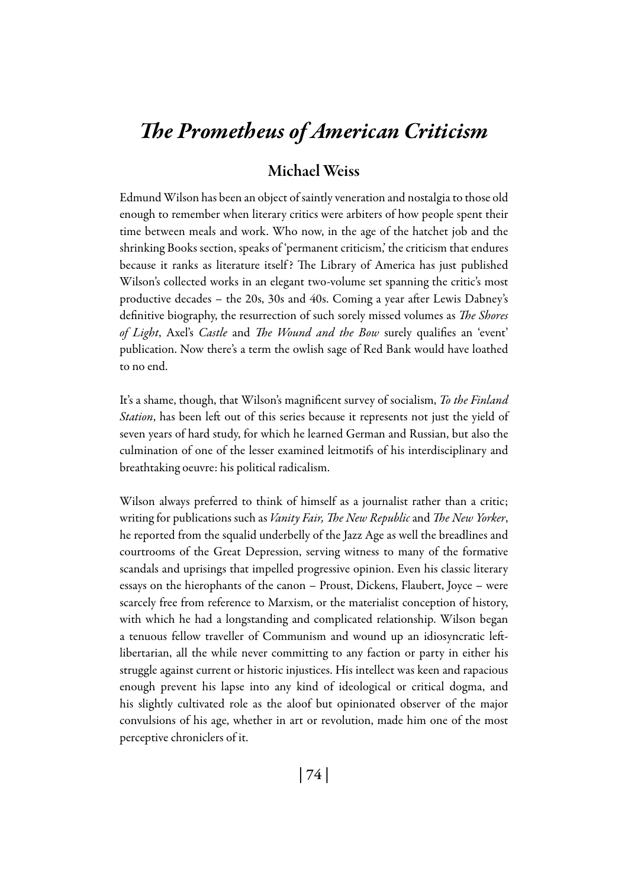# *The Prometheus of American Criticism*

# Michael Weiss

Edmund Wilson has been an object of saintly veneration and nostalgia to those old enough to remember when literary critics were arbiters of how people spent their time between meals and work. Who now, in the age of the hatchet job and the shrinking Books section, speaks of 'permanent criticism,' the criticism that endures because it ranks as literature itself ? The Library of America has just published Wilson's collected works in an elegant two-volume set spanning the critic's most productive decades – the 20s, 30s and 40s. Coming a year after Lewis Dabney's definitive biography, the resurrection of such sorely missed volumes as *The Shores of Light*, Axel's *Castle* and *The Wound and the Bow* surely qualifies an 'event' publication. Now there's a term the owlish sage of Red Bank would have loathed to no end.

It's a shame, though, that Wilson's magnificent survey of socialism, *To the Finland Station*, has been left out of this series because it represents not just the yield of seven years of hard study, for which he learned German and Russian, but also the culmination of one of the lesser examined leitmotifs of his interdisciplinary and breathtaking oeuvre: his political radicalism.

Wilson always preferred to think of himself as a journalist rather than a critic; writing for publications such as *Vanity Fair, The New Republic* and *The New Yorker*, he reported from the squalid underbelly of the Jazz Age as well the breadlines and courtrooms of the Great Depression, serving witness to many of the formative scandals and uprisings that impelled progressive opinion. Even his classic literary essays on the hierophants of the canon – Proust, Dickens, Flaubert, Joyce – were scarcely free from reference to Marxism, or the materialist conception of history, with which he had a longstanding and complicated relationship. Wilson began a tenuous fellow traveller of Communism and wound up an idiosyncratic leftlibertarian, all the while never committing to any faction or party in either his struggle against current or historic injustices. His intellect was keen and rapacious enough prevent his lapse into any kind of ideological or critical dogma, and his slightly cultivated role as the aloof but opinionated observer of the major convulsions of his age, whether in art or revolution, made him one of the most perceptive chroniclers of it.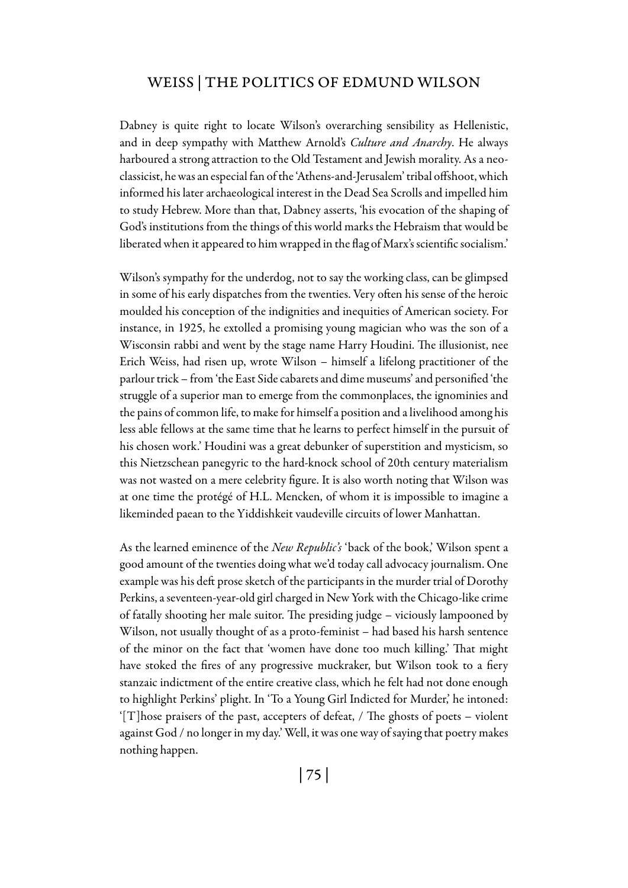Dabney is quite right to locate Wilson's overarching sensibility as Hellenistic, and in deep sympathy with Matthew Arnold's *Culture and Anarchy*. He always harboured a strong attraction to the Old Testament and Jewish morality. As a neoclassicist, he was an especial fan of the 'Athens-and-Jerusalem' tribal offshoot, which informed his later archaeological interest in the Dead Sea Scrolls and impelled him to study Hebrew. More than that, Dabney asserts, 'his evocation of the shaping of God's institutions from the things of this world marks the Hebraism that would be liberated when it appeared to him wrapped in the flag of Marx's scientific socialism.'

Wilson's sympathy for the underdog, not to say the working class, can be glimpsed in some of his early dispatches from the twenties. Very often his sense of the heroic moulded his conception of the indignities and inequities of American society. For instance, in 1925, he extolled a promising young magician who was the son of a Wisconsin rabbi and went by the stage name Harry Houdini. The illusionist, nee Erich Weiss, had risen up, wrote Wilson – himself a lifelong practitioner of the parlour trick – from 'the East Side cabarets and dime museums' and personified 'the struggle of a superior man to emerge from the commonplaces, the ignominies and the pains of common life, to make for himself a position and a livelihood among his less able fellows at the same time that he learns to perfect himself in the pursuit of his chosen work.' Houdini was a great debunker of superstition and mysticism, so this Nietzschean panegyric to the hard-knock school of 20th century materialism was not wasted on a mere celebrity figure. It is also worth noting that Wilson was at one time the protégé of H.L. Mencken, of whom it is impossible to imagine a likeminded paean to the Yiddishkeit vaudeville circuits of lower Manhattan.

As the learned eminence of the *New Republic's* 'back of the book,' Wilson spent a good amount of the twenties doing what we'd today call advocacy journalism. One example was his deft prose sketch of the participants in the murder trial of Dorothy Perkins, a seventeen-year-old girl charged in New York with the Chicago-like crime of fatally shooting her male suitor. The presiding judge – viciously lampooned by Wilson, not usually thought of as a proto-feminist – had based his harsh sentence of the minor on the fact that 'women have done too much killing.' That might have stoked the fires of any progressive muckraker, but Wilson took to a fiery stanzaic indictment of the entire creative class, which he felt had not done enough to highlight Perkins' plight. In 'To a Young Girl Indicted for Murder,' he intoned: '[T]hose praisers of the past, accepters of defeat, / The ghosts of poets – violent against God / no longer in my day.' Well, it was one way of saying that poetry makes nothing happen.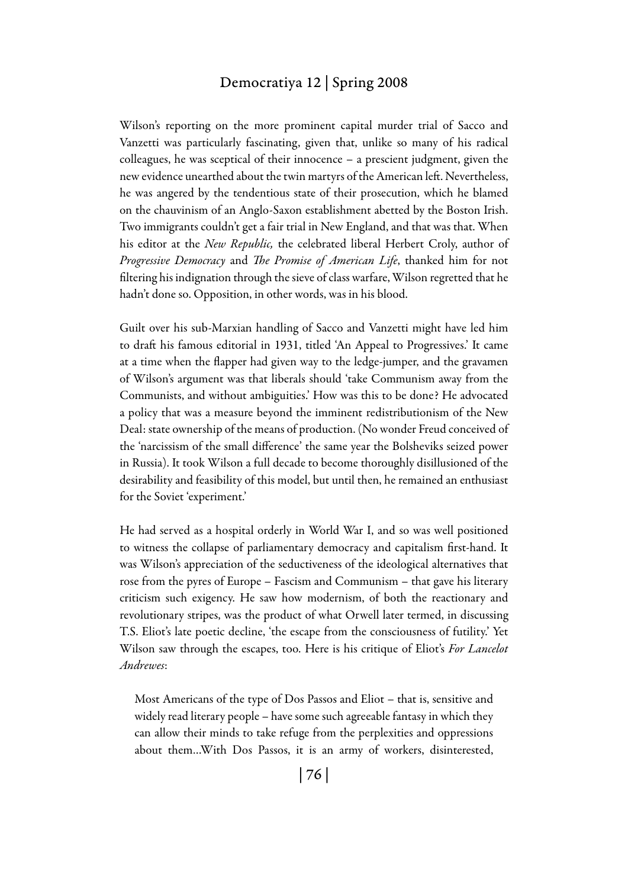Wilson's reporting on the more prominent capital murder trial of Sacco and Vanzetti was particularly fascinating, given that, unlike so many of his radical colleagues, he was sceptical of their innocence – a prescient judgment, given the new evidence unearthed about the twin martyrs of the American left. Nevertheless, he was angered by the tendentious state of their prosecution, which he blamed on the chauvinism of an Anglo-Saxon establishment abetted by the Boston Irish. Two immigrants couldn't get a fair trial in New England, and that was that. When his editor at the *New Republic,* the celebrated liberal Herbert Croly, author of *Progressive Democracy* and *The Promise of American Life*, thanked him for not filtering his indignation through the sieve of class warfare, Wilson regretted that he hadn't done so. Opposition, in other words, was in his blood.

Guilt over his sub-Marxian handling of Sacco and Vanzetti might have led him to draft his famous editorial in 1931, titled 'An Appeal to Progressives.' It came at a time when the flapper had given way to the ledge-jumper, and the gravamen of Wilson's argument was that liberals should 'take Communism away from the Communists, and without ambiguities.' How was this to be done? He advocated a policy that was a measure beyond the imminent redistributionism of the New Deal: state ownership of the means of production. (No wonder Freud conceived of the 'narcissism of the small difference' the same year the Bolsheviks seized power in Russia). It took Wilson a full decade to become thoroughly disillusioned of the desirability and feasibility of this model, but until then, he remained an enthusiast for the Soviet 'experiment.'

He had served as a hospital orderly in World War I, and so was well positioned to witness the collapse of parliamentary democracy and capitalism first-hand. It was Wilson's appreciation of the seductiveness of the ideological alternatives that rose from the pyres of Europe – Fascism and Communism – that gave his literary criticism such exigency. He saw how modernism, of both the reactionary and revolutionary stripes, was the product of what Orwell later termed, in discussing T.S. Eliot's late poetic decline, 'the escape from the consciousness of futility.' Yet Wilson saw through the escapes, too. Here is his critique of Eliot's *For Lancelot Andrewes*:

Most Americans of the type of Dos Passos and Eliot – that is, sensitive and widely read literary people – have some such agreeable fantasy in which they can allow their minds to take refuge from the perplexities and oppressions about them…With Dos Passos, it is an army of workers, disinterested,

| 76 |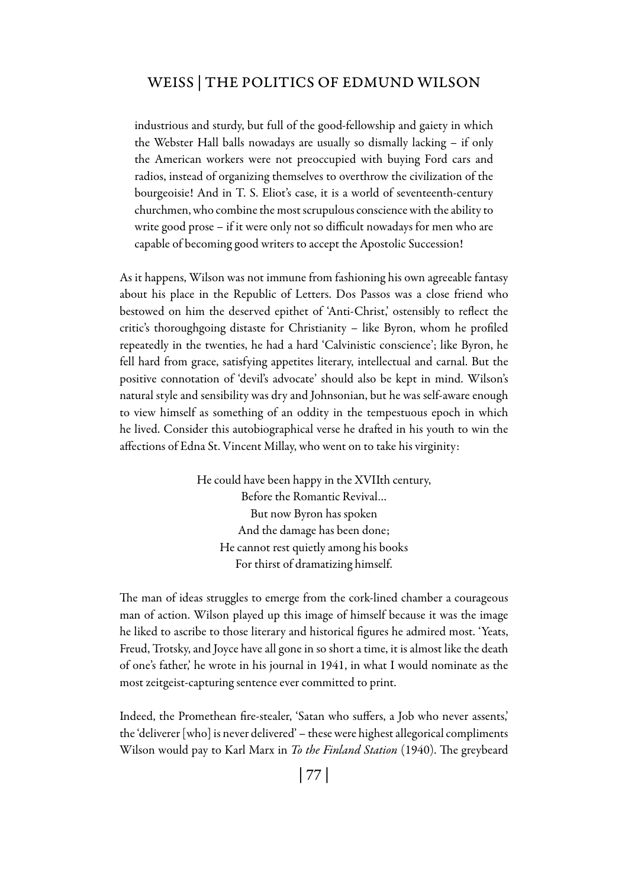industrious and sturdy, but full of the good-fellowship and gaiety in which the Webster Hall balls nowadays are usually so dismally lacking – if only the American workers were not preoccupied with buying Ford cars and radios, instead of organizing themselves to overthrow the civilization of the bourgeoisie! And in T. S. Eliot's case, it is a world of seventeenth-century churchmen, who combine the most scrupulous conscience with the ability to write good prose – if it were only not so difficult nowadays for men who are capable of becoming good writers to accept the Apostolic Succession!

As it happens, Wilson was not immune from fashioning his own agreeable fantasy about his place in the Republic of Letters. Dos Passos was a close friend who bestowed on him the deserved epithet of 'Anti-Christ,' ostensibly to reflect the critic's thoroughgoing distaste for Christianity – like Byron, whom he profiled repeatedly in the twenties, he had a hard 'Calvinistic conscience'; like Byron, he fell hard from grace, satisfying appetites literary, intellectual and carnal. But the positive connotation of 'devil's advocate' should also be kept in mind. Wilson's natural style and sensibility was dry and Johnsonian, but he was self-aware enough to view himself as something of an oddity in the tempestuous epoch in which he lived. Consider this autobiographical verse he drafted in his youth to win the affections of Edna St. Vincent Millay, who went on to take his virginity:

> He could have been happy in the XVIIth century, Before the Romantic Revival… But now Byron has spoken And the damage has been done; He cannot rest quietly among his books For thirst of dramatizing himself.

The man of ideas struggles to emerge from the cork-lined chamber a courageous man of action. Wilson played up this image of himself because it was the image he liked to ascribe to those literary and historical figures he admired most. 'Yeats, Freud, Trotsky, and Joyce have all gone in so short a time, it is almost like the death of one's father,' he wrote in his journal in 1941, in what I would nominate as the most zeitgeist-capturing sentence ever committed to print.

Indeed, the Promethean fire-stealer, 'Satan who suffers, a Job who never assents,' the 'deliverer [who] is never delivered' – these were highest allegorical compliments Wilson would pay to Karl Marx in *To the Finland Station* (1940). The greybeard

| 77 |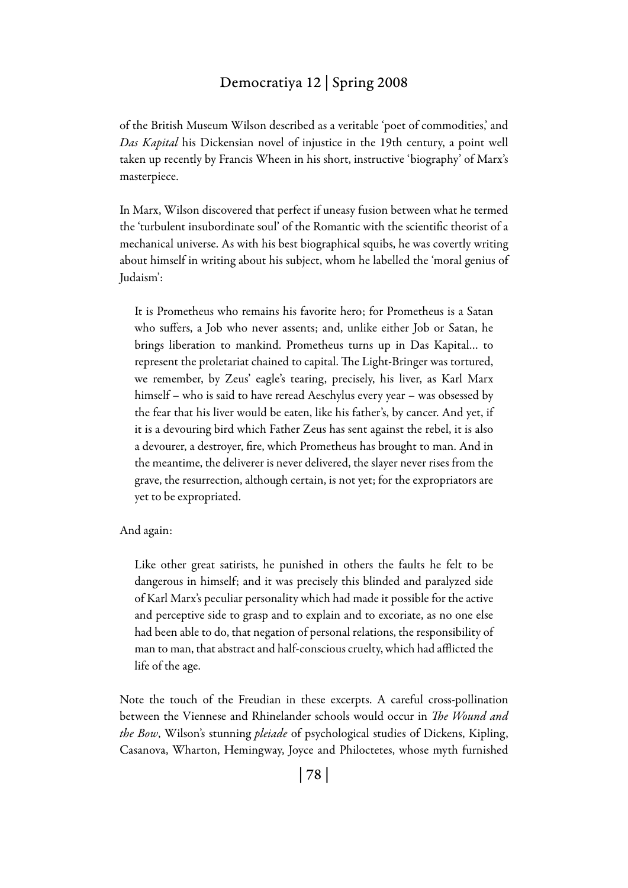of the British Museum Wilson described as a veritable 'poet of commodities,' and *Das Kapital* his Dickensian novel of injustice in the 19th century, a point well taken up recently by Francis Wheen in his short, instructive 'biography' of Marx's masterpiece.

In Marx, Wilson discovered that perfect if uneasy fusion between what he termed the 'turbulent insubordinate soul' of the Romantic with the scientific theorist of a mechanical universe. As with his best biographical squibs, he was covertly writing about himself in writing about his subject, whom he labelled the 'moral genius of Judaism':

It is Prometheus who remains his favorite hero; for Prometheus is a Satan who suffers, a Job who never assents; and, unlike either Job or Satan, he brings liberation to mankind. Prometheus turns up in Das Kapital… to represent the proletariat chained to capital. The Light-Bringer was tortured, we remember, by Zeus' eagle's tearing, precisely, his liver, as Karl Marx himself – who is said to have reread Aeschylus every year – was obsessed by the fear that his liver would be eaten, like his father's, by cancer. And yet, if it is a devouring bird which Father Zeus has sent against the rebel, it is also a devourer, a destroyer, fire, which Prometheus has brought to man. And in the meantime, the deliverer is never delivered, the slayer never rises from the grave, the resurrection, although certain, is not yet; for the expropriators are yet to be expropriated.

#### And again:

Like other great satirists, he punished in others the faults he felt to be dangerous in himself; and it was precisely this blinded and paralyzed side of Karl Marx's peculiar personality which had made it possible for the active and perceptive side to grasp and to explain and to excoriate, as no one else had been able to do, that negation of personal relations, the responsibility of man to man, that abstract and half-conscious cruelty, which had afflicted the life of the age.

Note the touch of the Freudian in these excerpts. A careful cross-pollination between the Viennese and Rhinelander schools would occur in *The Wound and the Bow*, Wilson's stunning *pleiade* of psychological studies of Dickens, Kipling, Casanova, Wharton, Hemingway, Joyce and Philoctetes, whose myth furnished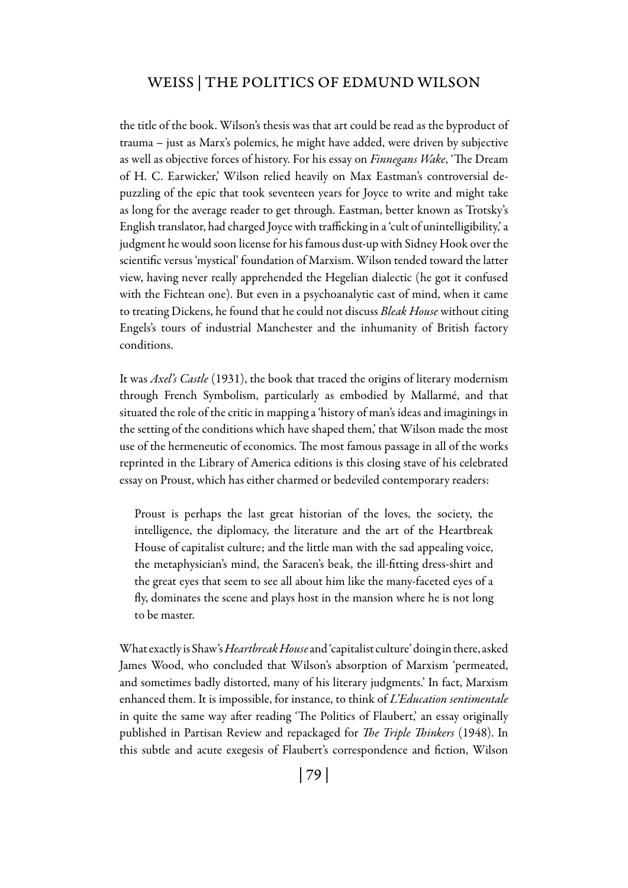the title of the book. Wilson's thesis was that art could be read as the byproduct of trauma – just as Marx's polemics, he might have added, were driven by subjective as well as objective forces of history. For his essay on *Finnegans Wake*, 'The Dream of H. C. Earwicker,' Wilson relied heavily on Max Eastman's controversial depuzzling of the epic that took seventeen years for Joyce to write and might take as long for the average reader to get through. Eastman, better known as Trotsky's English translator, had charged Joyce with trafficking in a 'cult of unintelligibility,' a judgment he would soon license for his famous dust-up with Sidney Hook over the scientific versus 'mystical' foundation of Marxism. Wilson tended toward the latter view, having never really apprehended the Hegelian dialectic (he got it confused with the Fichtean one). But even in a psychoanalytic cast of mind, when it came to treating Dickens, he found that he could not discuss *Bleak House* without citing Engels's tours of industrial Manchester and the inhumanity of British factory conditions.

It was *Axel's Castle* (1931), the book that traced the origins of literary modernism through French Symbolism, particularly as embodied by Mallarmé, and that situated the role of the critic in mapping a 'history of man's ideas and imaginings in the setting of the conditions which have shaped them,' that Wilson made the most use of the hermeneutic of economics. The most famous passage in all of the works reprinted in the Library of America editions is this closing stave of his celebrated essay on Proust, which has either charmed or bedeviled contemporary readers:

Proust is perhaps the last great historian of the loves, the society, the intelligence, the diplomacy, the literature and the art of the Heartbreak House of capitalist culture; and the little man with the sad appealing voice, the metaphysician's mind, the Saracen's beak, the ill-fitting dress-shirt and the great eyes that seem to see all about him like the many-faceted eyes of a fly, dominates the scene and plays host in the mansion where he is not long to be master.

What exactly is Shaw's *Heartbreak House* and 'capitalist culture' doing in there, asked James Wood, who concluded that Wilson's absorption of Marxism 'permeated, and sometimes badly distorted, many of his literary judgments.' In fact, Marxism enhanced them. It is impossible, for instance, to think of *L'Education sentimentale* in quite the same way after reading 'The Politics of Flaubert,' an essay originally published in Partisan Review and repackaged for *The Triple Thinkers* (1948). In this subtle and acute exegesis of Flaubert's correspondence and fiction, Wilson

| 79 |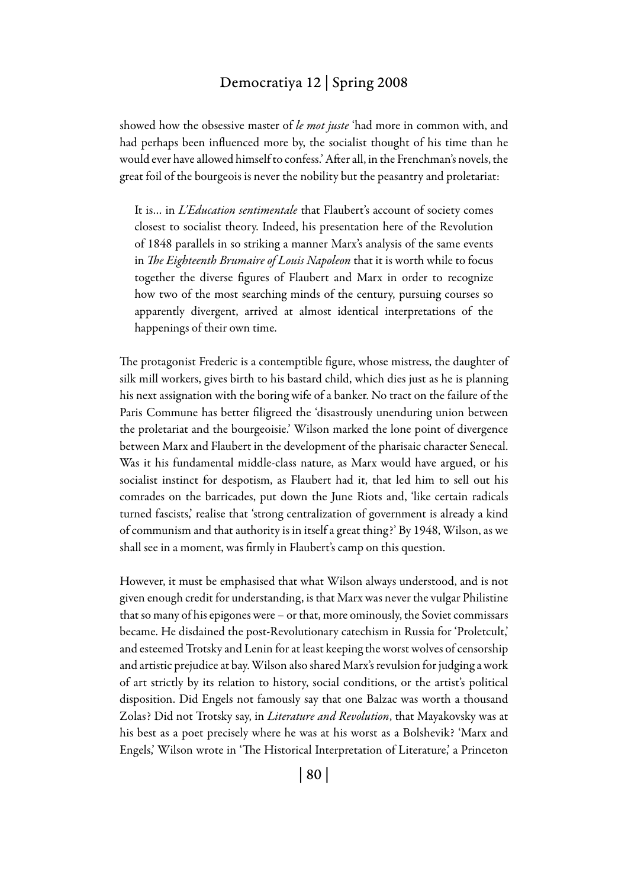showed how the obsessive master of *le mot juste* 'had more in common with, and had perhaps been influenced more by, the socialist thought of his time than he would ever have allowed himself to confess.' After all, in the Frenchman's novels, the great foil of the bourgeois is never the nobility but the peasantry and proletariat:

It is… in *L'Education sentimentale* that Flaubert's account of society comes closest to socialist theory. Indeed, his presentation here of the Revolution of 1848 parallels in so striking a manner Marx's analysis of the same events in *The Eighteenth Brumaire of Louis Napoleon* that it is worth while to focus together the diverse figures of Flaubert and Marx in order to recognize how two of the most searching minds of the century, pursuing courses so apparently divergent, arrived at almost identical interpretations of the happenings of their own time.

The protagonist Frederic is a contemptible figure, whose mistress, the daughter of silk mill workers, gives birth to his bastard child, which dies just as he is planning his next assignation with the boring wife of a banker. No tract on the failure of the Paris Commune has better filigreed the 'disastrously unenduring union between the proletariat and the bourgeoisie.' Wilson marked the lone point of divergence between Marx and Flaubert in the development of the pharisaic character Senecal. Was it his fundamental middle-class nature, as Marx would have argued, or his socialist instinct for despotism, as Flaubert had it, that led him to sell out his comrades on the barricades, put down the June Riots and, 'like certain radicals turned fascists,' realise that 'strong centralization of government is already a kind of communism and that authority is in itself a great thing?' By 1948, Wilson, as we shall see in a moment, was firmly in Flaubert's camp on this question.

However, it must be emphasised that what Wilson always understood, and is not given enough credit for understanding, is that Marx was never the vulgar Philistine that so many of his epigones were – or that, more ominously, the Soviet commissars became. He disdained the post-Revolutionary catechism in Russia for 'Proletcult,' and esteemed Trotsky and Lenin for at least keeping the worst wolves of censorship and artistic prejudice at bay. Wilson also shared Marx's revulsion for judging a work of art strictly by its relation to history, social conditions, or the artist's political disposition. Did Engels not famously say that one Balzac was worth a thousand Zolas? Did not Trotsky say, in *Literature and Revolution*, that Mayakovsky was at his best as a poet precisely where he was at his worst as a Bolshevik? 'Marx and Engels,' Wilson wrote in 'The Historical Interpretation of Literature,' a Princeton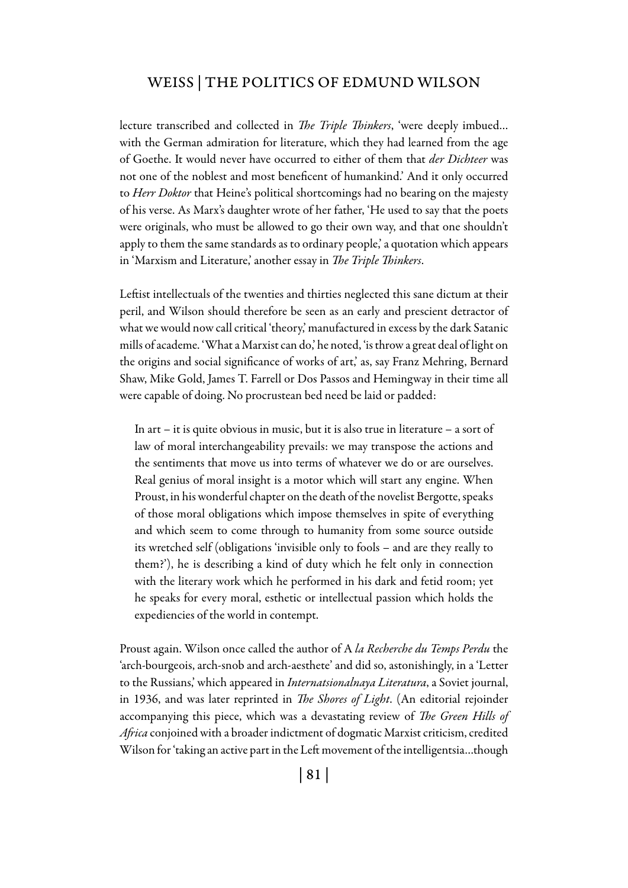lecture transcribed and collected in *The Triple Thinkers*, 'were deeply imbued… with the German admiration for literature, which they had learned from the age of Goethe. It would never have occurred to either of them that *der Dichteer* was not one of the noblest and most beneficent of humankind.' And it only occurred to *Herr Doktor* that Heine's political shortcomings had no bearing on the majesty of his verse. As Marx's daughter wrote of her father, 'He used to say that the poets were originals, who must be allowed to go their own way, and that one shouldn't apply to them the same standards as to ordinary people,' a quotation which appears in 'Marxism and Literature,' another essay in *The Triple Thinkers*.

Leftist intellectuals of the twenties and thirties neglected this sane dictum at their peril, and Wilson should therefore be seen as an early and prescient detractor of what we would now call critical 'theory,' manufactured in excess by the dark Satanic mills of academe. 'What a Marxist can do,' he noted, 'is throw a great deal of light on the origins and social significance of works of art,' as, say Franz Mehring, Bernard Shaw, Mike Gold, James T. Farrell or Dos Passos and Hemingway in their time all were capable of doing. No procrustean bed need be laid or padded:

In art – it is quite obvious in music, but it is also true in literature – a sort of law of moral interchangeability prevails: we may transpose the actions and the sentiments that move us into terms of whatever we do or are ourselves. Real genius of moral insight is a motor which will start any engine. When Proust, in his wonderful chapter on the death of the novelist Bergotte, speaks of those moral obligations which impose themselves in spite of everything and which seem to come through to humanity from some source outside its wretched self (obligations 'invisible only to fools – and are they really to them?'), he is describing a kind of duty which he felt only in connection with the literary work which he performed in his dark and fetid room; yet he speaks for every moral, esthetic or intellectual passion which holds the expediencies of the world in contempt.

Proust again. Wilson once called the author of A *la Recherche du Temps Perdu* the 'arch-bourgeois, arch-snob and arch-aesthete' and did so, astonishingly, in a 'Letter to the Russians,' which appeared in *Internatsionalnaya Literatura*, a Soviet journal, in 1936, and was later reprinted in *The Shores of Light*. (An editorial rejoinder accompanying this piece, which was a devastating review of *The Green Hills of Africa* conjoined with a broader indictment of dogmatic Marxist criticism, credited Wilson for 'taking an active part in the Left movement of the intelligentsia…though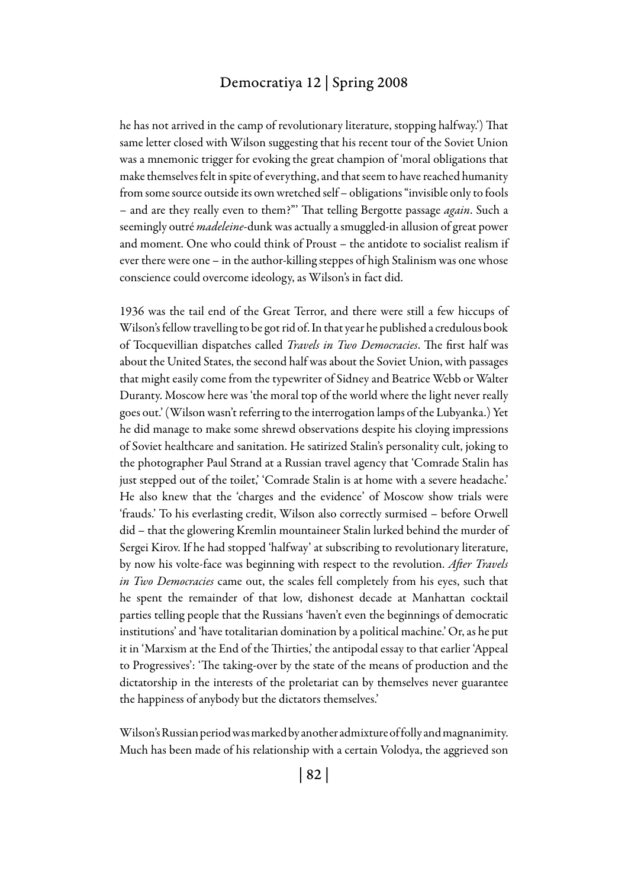he has not arrived in the camp of revolutionary literature, stopping halfway.') That same letter closed with Wilson suggesting that his recent tour of the Soviet Union was a mnemonic trigger for evoking the great champion of 'moral obligations that make themselves felt in spite of everything, and that seem to have reached humanity from some source outside its own wretched self – obligations "invisible only to fools – and are they really even to them?"' That telling Bergotte passage *again*. Such a seemingly outré *madeleine*-dunk was actually a smuggled-in allusion of great power and moment. One who could think of Proust – the antidote to socialist realism if ever there were one – in the author-killing steppes of high Stalinism was one whose conscience could overcome ideology, as Wilson's in fact did.

1936 was the tail end of the Great Terror, and there were still a few hiccups of Wilson's fellow travelling to be got rid of. In that year he published a credulous book of Tocquevillian dispatches called *Travels in Two Democracies*. The first half was about the United States, the second half was about the Soviet Union, with passages that might easily come from the typewriter of Sidney and Beatrice Webb or Walter Duranty. Moscow here was 'the moral top of the world where the light never really goes out.' (Wilson wasn't referring to the interrogation lamps of the Lubyanka.) Yet he did manage to make some shrewd observations despite his cloying impressions of Soviet healthcare and sanitation. He satirized Stalin's personality cult, joking to the photographer Paul Strand at a Russian travel agency that 'Comrade Stalin has just stepped out of the toilet,' 'Comrade Stalin is at home with a severe headache.' He also knew that the 'charges and the evidence' of Moscow show trials were 'frauds.' To his everlasting credit, Wilson also correctly surmised – before Orwell did – that the glowering Kremlin mountaineer Stalin lurked behind the murder of Sergei Kirov. If he had stopped 'halfway' at subscribing to revolutionary literature, by now his volte-face was beginning with respect to the revolution. *After Travels in Two Democracies* came out, the scales fell completely from his eyes, such that he spent the remainder of that low, dishonest decade at Manhattan cocktail parties telling people that the Russians 'haven't even the beginnings of democratic institutions' and 'have totalitarian domination by a political machine.' Or, as he put it in 'Marxism at the End of the Thirties,' the antipodal essay to that earlier 'Appeal to Progressives': 'The taking-over by the state of the means of production and the dictatorship in the interests of the proletariat can by themselves never guarantee the happiness of anybody but the dictators themselves.'

Wilson's Russian period was marked by another admixture of folly and magnanimity. Much has been made of his relationship with a certain Volodya, the aggrieved son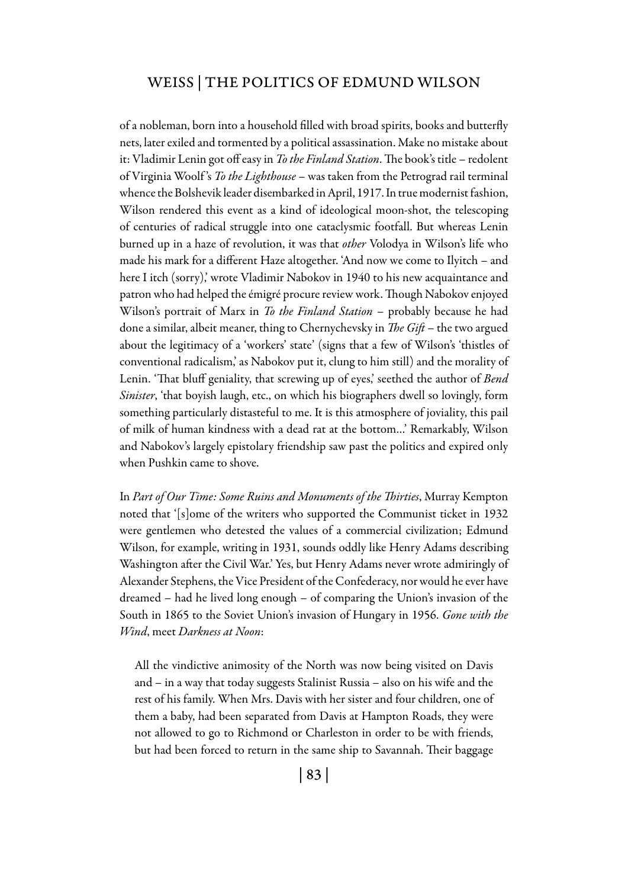of a nobleman, born into a household filled with broad spirits, books and butterfly nets, later exiled and tormented by a political assassination. Make no mistake about it: Vladimir Lenin got off easy in *To the Finland Station*. The book's title – redolent of Virginia Woolf 's *To the Lighthouse* – was taken from the Petrograd rail terminal whence the Bolshevik leader disembarked in April, 1917. In true modernist fashion, Wilson rendered this event as a kind of ideological moon-shot, the telescoping of centuries of radical struggle into one cataclysmic footfall. But whereas Lenin burned up in a haze of revolution, it was that *other* Volodya in Wilson's life who made his mark for a different Haze altogether. 'And now we come to Ilyitch – and here I itch (sorry),' wrote Vladimir Nabokov in 1940 to his new acquaintance and patron who had helped the émigré procure review work. Though Nabokov enjoyed Wilson's portrait of Marx in *To the Finland Station* – probably because he had done a similar, albeit meaner, thing to Chernychevsky in *The Gift* – the two argued about the legitimacy of a 'workers' state' (signs that a few of Wilson's 'thistles of conventional radicalism,' as Nabokov put it, clung to him still) and the morality of Lenin. 'That bluff geniality, that screwing up of eyes,' seethed the author of *Bend Sinister*, 'that boyish laugh, etc., on which his biographers dwell so lovingly, form something particularly distasteful to me. It is this atmosphere of joviality, this pail of milk of human kindness with a dead rat at the bottom…' Remarkably, Wilson and Nabokov's largely epistolary friendship saw past the politics and expired only when Pushkin came to shove.

In *Part of Our Time: Some Ruins and Monuments of the Thirties*, Murray Kempton noted that '[s]ome of the writers who supported the Communist ticket in 1932 were gentlemen who detested the values of a commercial civilization; Edmund Wilson, for example, writing in 1931, sounds oddly like Henry Adams describing Washington after the Civil War.' Yes, but Henry Adams never wrote admiringly of Alexander Stephens, the Vice President of the Confederacy, nor would he ever have dreamed – had he lived long enough – of comparing the Union's invasion of the South in 1865 to the Soviet Union's invasion of Hungary in 1956. *Gone with the Wind*, meet *Darkness at Noon*:

All the vindictive animosity of the North was now being visited on Davis and – in a way that today suggests Stalinist Russia – also on his wife and the rest of his family. When Mrs. Davis with her sister and four children, one of them a baby, had been separated from Davis at Hampton Roads, they were not allowed to go to Richmond or Charleston in order to be with friends, but had been forced to return in the same ship to Savannah. Their baggage

| 83 |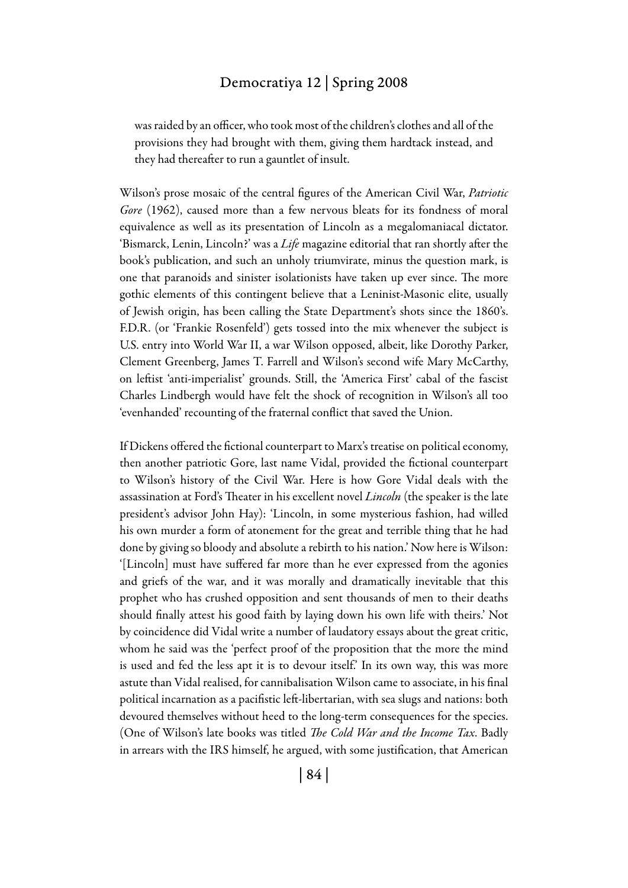was raided by an officer, who took most of the children's clothes and all of the provisions they had brought with them, giving them hardtack instead, and they had thereafter to run a gauntlet of insult.

Wilson's prose mosaic of the central figures of the American Civil War, *Patriotic Gore* (1962), caused more than a few nervous bleats for its fondness of moral equivalence as well as its presentation of Lincoln as a megalomaniacal dictator. 'Bismarck, Lenin, Lincoln?' was a *Life* magazine editorial that ran shortly after the book's publication, and such an unholy triumvirate, minus the question mark, is one that paranoids and sinister isolationists have taken up ever since. The more gothic elements of this contingent believe that a Leninist-Masonic elite, usually of Jewish origin, has been calling the State Department's shots since the 1860's. F.D.R. (or 'Frankie Rosenfeld') gets tossed into the mix whenever the subject is U.S. entry into World War II, a war Wilson opposed, albeit, like Dorothy Parker, Clement Greenberg, James T. Farrell and Wilson's second wife Mary McCarthy, on leftist 'anti-imperialist' grounds. Still, the 'America First' cabal of the fascist Charles Lindbergh would have felt the shock of recognition in Wilson's all too 'evenhanded' recounting of the fraternal conflict that saved the Union.

If Dickens offered the fictional counterpart to Marx's treatise on political economy, then another patriotic Gore, last name Vidal, provided the fictional counterpart to Wilson's history of the Civil War. Here is how Gore Vidal deals with the assassination at Ford's Theater in his excellent novel *Lincoln* (the speaker is the late president's advisor John Hay): 'Lincoln, in some mysterious fashion, had willed his own murder a form of atonement for the great and terrible thing that he had done by giving so bloody and absolute a rebirth to his nation.' Now here is Wilson: '[Lincoln] must have suffered far more than he ever expressed from the agonies and griefs of the war, and it was morally and dramatically inevitable that this prophet who has crushed opposition and sent thousands of men to their deaths should finally attest his good faith by laying down his own life with theirs.' Not by coincidence did Vidal write a number of laudatory essays about the great critic, whom he said was the 'perfect proof of the proposition that the more the mind is used and fed the less apt it is to devour itself.' In its own way, this was more astute than Vidal realised, for cannibalisation Wilson came to associate, in his final political incarnation as a pacifistic left-libertarian, with sea slugs and nations: both devoured themselves without heed to the long-term consequences for the species. (One of Wilson's late books was titled *The Cold War and the Income Tax*. Badly in arrears with the IRS himself, he argued, with some justification, that American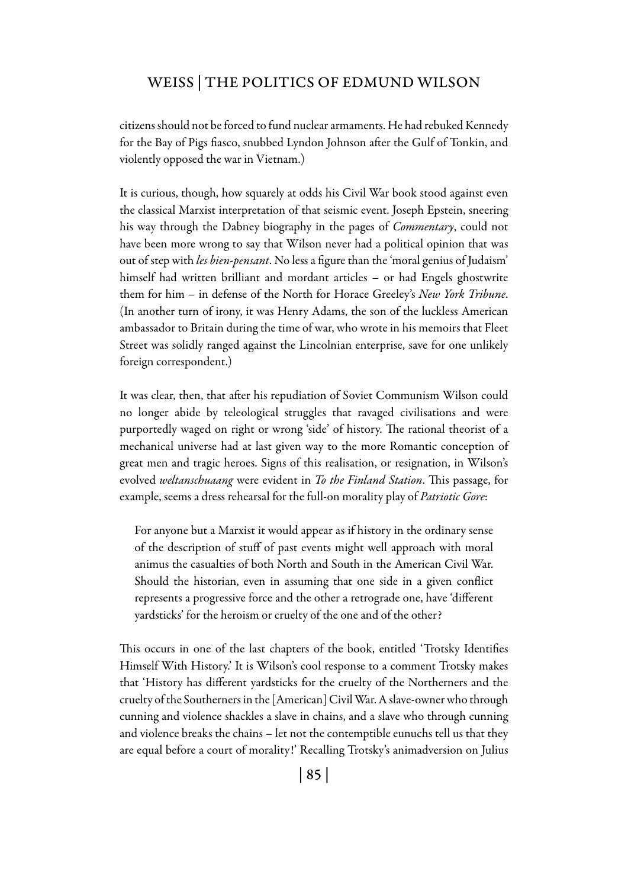citizens should not be forced to fund nuclear armaments. He had rebuked Kennedy for the Bay of Pigs fiasco, snubbed Lyndon Johnson after the Gulf of Tonkin, and violently opposed the war in Vietnam.)

It is curious, though, how squarely at odds his Civil War book stood against even the classical Marxist interpretation of that seismic event. Joseph Epstein, sneering his way through the Dabney biography in the pages of *Commentary*, could not have been more wrong to say that Wilson never had a political opinion that was out of step with *les bien-pensant*. No less a figure than the 'moral genius of Judaism' himself had written brilliant and mordant articles – or had Engels ghostwrite them for him – in defense of the North for Horace Greeley's *New York Tribune*. (In another turn of irony, it was Henry Adams, the son of the luckless American ambassador to Britain during the time of war, who wrote in his memoirs that Fleet Street was solidly ranged against the Lincolnian enterprise, save for one unlikely foreign correspondent.)

It was clear, then, that after his repudiation of Soviet Communism Wilson could no longer abide by teleological struggles that ravaged civilisations and were purportedly waged on right or wrong 'side' of history. The rational theorist of a mechanical universe had at last given way to the more Romantic conception of great men and tragic heroes. Signs of this realisation, or resignation, in Wilson's evolved *weltanschuaang* were evident in *To the Finland Station*. This passage, for example, seems a dress rehearsal for the full-on morality play of *Patriotic Gore*:

For anyone but a Marxist it would appear as if history in the ordinary sense of the description of stuff of past events might well approach with moral animus the casualties of both North and South in the American Civil War. Should the historian, even in assuming that one side in a given conflict represents a progressive force and the other a retrograde one, have 'different yardsticks' for the heroism or cruelty of the one and of the other?

This occurs in one of the last chapters of the book, entitled 'Trotsky Identifies Himself With History.' It is Wilson's cool response to a comment Trotsky makes that 'History has different yardsticks for the cruelty of the Northerners and the cruelty of the Southerners in the [American] Civil War. A slave-owner who through cunning and violence shackles a slave in chains, and a slave who through cunning and violence breaks the chains – let not the contemptible eunuchs tell us that they are equal before a court of morality!' Recalling Trotsky's animadversion on Julius